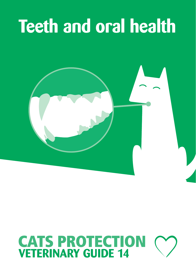## **Teeth and oral health**



# **CATS PROTECTION**<br>**VETERINARY GUIDE 14**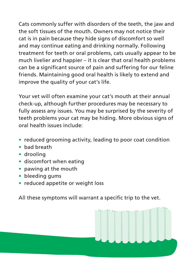Cats commonly suffer with disorders of the teeth, the jaw and the soft tissues of the mouth. Owners may not notice their cat is in pain because they hide signs of discomfort so well and may continue eating and drinking normally. Following treatment for teeth or oral problems, cats usually appear to be much livelier and happier – it is clear that oral health problems can be a significant source of pain and suffering for our feline friends. Maintaining good oral health is likely to extend and improve the quality of your cat's life.

Your vet will often examine your cat's mouth at their annual check-up, although further procedures may be necessary to fully assess any issues. You may be surprised by the severity of teeth problems your cat may be hiding. More obvious signs of oral health issues include:

- **•** reduced grooming activity, leading to poor coat condition
- **•** bad breath
- **•** drooling
- **•** discomfort when eating
- **•** pawing at the mouth
- **•** bleeding gums
- **•** reduced appetite or weight loss

All these symptoms will warrant a specific trip to the vet.

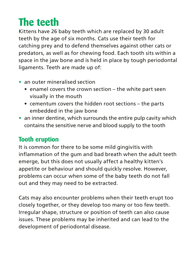## **The teeth**

Kittens have 26 baby teeth which are replaced by 30 adult teeth by the age of six months. Cats use their teeth for catching prey and to defend themselves against other cats or predators, as well as for chewing food. Each tooth sits within a space in the jaw bone and is held in place by tough periodontal ligaments. Teeth are made up of:

- **•** an outer mineralised section
	- enamel covers the crown section the white part seen visually in the mouth
	- cementum covers the hidden root sections the parts embedded in the jaw bone
- **•** an inner dentine, which surrounds the entire pulp cavity which contains the sensitive nerve and blood supply to the tooth

#### **Tooth eruption**

It is common for there to be some mild gingivitis with inflammation of the gum and bad breath when the adult teeth emerge, but this does not usually affect a healthy kitten's appetite or behaviour and should quickly resolve. However, problems can occur when some of the baby teeth do not fall out and they may need to be extracted.

Cats may also encounter problems when their teeth erupt too closely together, or they develop too many or too few teeth. Irregular shape, structure or position of teeth can also cause issues. These problems may be inherited and can lead to the development of periodontal disease.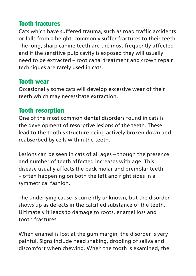#### **Tooth fractures**

Cats which have suffered trauma, such as road traffic accidents or falls from a height, commonly suffer fractures to their teeth. The long, sharp canine teeth are the most frequently affected and if the sensitive pulp cavity is exposed they will usually need to be extracted – root canal treatment and crown repair techniques are rarely used in cats.

#### **Tooth wear**

Occasionally some cats will develop excessive wear of their teeth which may necessitate extraction.

#### **Tooth resorption**

One of the most common dental disorders found in cats is the development of resorptive lesions of the teeth. These lead to the tooth's structure being actively broken down and reabsorbed by cells within the teeth.

Lesions can be seen in cats of all ages – though the presence and number of teeth affected increases with age. This disease usually affects the back molar and premolar teeth – often happening on both the left and right sides in a symmetrical fashion.

The underlying cause is currently unknown, but the disorder shows up as defects in the calcified substance of the teeth. Ultimately it leads to damage to roots, enamel loss and tooth fractures.

When enamel is lost at the gum margin, the disorder is very painful. Signs include head shaking, drooling of saliva and discomfort when chewing. When the tooth is examined, the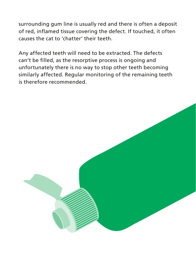surrounding gum line is usually red and there is often a deposit of red, inflamed tissue covering the defect. If touched, it often causes the cat to 'chatter' their teeth.

Any affected teeth will need to be extracted. The defects can't be filled, as the resorptive process is ongoing and unfortunately there is no way to stop other teeth becoming similarly affected. Regular monitoring of the remaining teeth is therefore recommended.

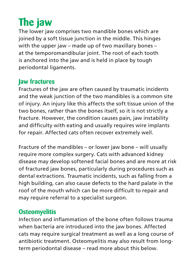## **The jaw**

The lower jaw comprises two mandible bones which are joined by a soft tissue junction in the middle. This hinges with the upper jaw – made up of two maxillary bones – at the temporomandibular joint. The root of each tooth is anchored into the jaw and is held in place by tough periodontal ligaments.

#### **Jaw fractures**

Fractures of the jaw are often caused by traumatic incidents and the weak junction of the two mandibles is a common site of injury. An injury like this affects the soft tissue union of the two bones, rather than the bones itself, so it is not strictly a fracture. However, the condition causes pain, jaw instability and difficulty with eating and usually requires wire implants for repair. Affected cats often recover extremely well.

Fracture of the mandibles – or lower jaw bone – will usually require more complex surgery. Cats with advanced kidney disease may develop softened facial bones and are more at risk of fractured jaw bones, particularly during procedures such as dental extractions. Traumatic incidents, such as falling from a high building, can also cause defects to the hard palate in the roof of the mouth which can be more difficult to repair and may require referral to a specialist surgeon.

#### **Osteomyelitis**

Infection and inflammation of the bone often follows trauma when bacteria are introduced into the jaw bones. Affected cats may require surgical treatment as well as a long course of antibiotic treatment. Osteomyelitis may also result from longterm periodontal disease – read more about this below.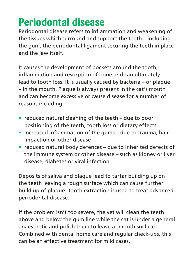## **Periodontal disease**

Periodontal disease refers to inflammation and weakening of the tissues which surround and support the teeth – including the gum, the periodontal ligament securing the teeth in place and the jaw itself.

It causes the development of pockets around the tooth, inflammation and resorption of bone and can ultimately lead to tooth loss. It is usually caused by bacteria – or plaque – in the mouth. Plaque is always present in the cat's mouth and can become excessive or cause disease for a number of reasons including:

- **•** reduced natural cleaning of the teeth due to poor positioning of the teeth, tooth loss or dietary effects
- **•** increased inflammation of the gums due to trauma, hair impaction or other disease
- **•** reduced natural body defences due to inherited defects of the immune system or other disease – such as kidney or liver disease, diabetes or viral infection

Deposits of saliva and plaque lead to tartar building up on the teeth leaving a rough surface which can cause further build up of plaque. Tooth extraction is used to treat advanced periodontal disease.

If the problem isn't too severe, the vet will clean the teeth above and below the gum line while the cat is under a general anaesthetic and polish them to leave a smooth surface. Combined with dental home care and regular check-ups, this can be an effective treatment for mild cases.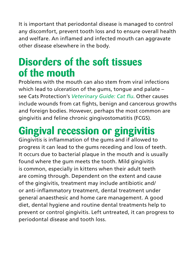It is important that periodontal disease is managed to control any discomfort, prevent tooth loss and to ensure overall health and welfare. An inflamed and infected mouth can aggravate other disease elsewhere in the body.

#### **Disorders of the soft tissues of the mouth**

Problems with the mouth can also stem from viral infections which lead to ulceration of the gums, tongue and palate – see Cats Protection's *Veterinary Guide: Cat flu*. Other causes include wounds from cat fights, benign and cancerous growths and foreign bodies. However, perhaps the most common are gingivitis and feline chronic gingivostomatitis (FCGS).

## **Gingival recession or gingivitis**

Gingivitis is inflammation of the gums and if allowed to progress it can lead to the gums receding and loss of teeth. It occurs due to bacterial plaque in the mouth and is usually found where the gum meets the tooth. Mild gingivitis is common, especially in kittens when their adult teeth are coming through. Dependent on the extent and cause of the gingivitis, treatment may include antibiotic and/ or anti-inflammatory treatment, dental treatment under general anaesthesic and home care management. A good diet, dental hygiene and routine dental treatments help to prevent or control gingivitis. Left untreated, it can progress to periodontal disease and tooth loss.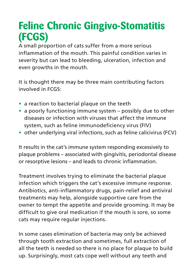### **Feline Chronic Gingivo-Stomatitis (FCGS)**

A small proportion of cats suffer from a more serious inflammation of the mouth. This painful condition varies in severity but can lead to bleeding, ulceration, infection and even growths in the mouth.

It is thought there may be three main contributing factors involved in FCGS:

- **•** a reaction to bacterial plaque on the teeth
- **•** a poorly functioning immune system possibly due to other diseases or infection with viruses that affect the immune system, such as feline immunodeficiency virus (FIV)
- **•** other underlying viral infections, such as feline calicivirus (FCV)

It results in the cat's immune system responding excessively to plaque problems – associated with gingivitis, periodontal disease or resorptive lesions – and leads to chronic inflammation.

Treatment involves trying to eliminate the bacterial plaque infection which triggers the cat's excessive immune response. Antibiotics, anti-inflammatory drugs, pain-relief and antiviral treatments may help, alongside supportive care from the owner to tempt the appetite and provide grooming. It may be difficult to give oral medication if the mouth is sore, so some cats may require regular injections.

In some cases elimination of bacteria may only be achieved through tooth extraction and sometimes, full extraction of all the teeth is needed so there is no place for plaque to build up. Surprisingly, most cats cope well without any teeth and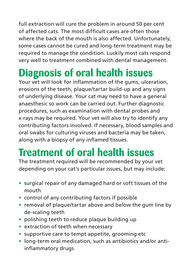full extraction will cure the problem in around 50 per cent of affected cats. The most difficult cases are often those where the back of the mouth is also affected. Unfortunately, some cases cannot be cured and long-term treatment may be required to manage the condition. Luckily most cats respond very well to treatment combined with dental management.

## **Diagnosis of oral health issues**

Your vet will look for inflammation of the gums, ulceration, erosions of the teeth, plaque/tartar build-up and any signs of underlying disease. Your cat may need to have a general anaesthesic so work can be carried out. Further diagnostic procedures, such as examination with dental probes and x-rays may be required. Your vet will also try to identify any contributing factors involved. If necessary, blood samples and oral swabs for culturing viruses and bacteria may be taken, along with a biopsy of any inflamed tissues.

## **Treatment of oral health issues**

The treatment required will be recommended by your vet depending on your cat's particular issues, but may include:

- **•** surgical repair of any damaged hard or soft tissues of the mouth
- **•** control of any contributing factors if possible
- **•** removal of plaque/tartar above and below the gum line by de-scaling teeth
- **•** polishing teeth to reduce plaque building up
- **•** extraction of teeth when necessary
- **•** supportive care to tempt appetite, grooming etc
- **•** long-term oral medication, such as antibiotics and/or antiinflammatory drugs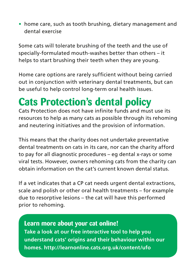**•** home care, such as tooth brushing, dietary management and dental exercise

Some cats will tolerate brushing of the teeth and the use of specially-formulated mouth-washes better than others – it helps to start brushing their teeth when they are young.

Home care options are rarely sufficient without being carried out in conjunction with veterinary dental treatments, but can be useful to help control long-term oral health issues.

## **Cats Protection's dental policy**

Cats Protection does not have infinite funds and must use its resources to help as many cats as possible through its rehoming and neutering initiatives and the provision of information.

This means that the charity does not undertake preventative dental treatments on cats in its care, nor can the charity afford to pay for all diagnostic procedures – eg dental x-rays or some viral tests. However, owners rehoming cats from the charity can obtain information on the cat's current known dental status.

If a vet indicates that a CP cat needs urgent dental extractions, scale and polish or other oral health treatments – for example due to resorptive lesions – the cat will have this performed prior to rehoming.

#### **Learn more about your cat online! Take a look at our free interactive tool to help you understand cats' origins and their behaviour within our homes. http://learnonline.cats.org.uk/content/ufo**